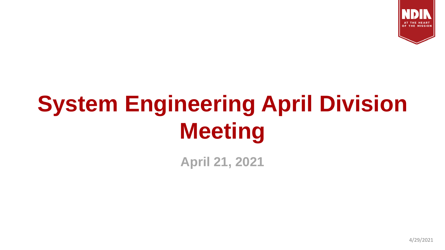

# **System Engineering April Division Meeting**

**April 21, 2021**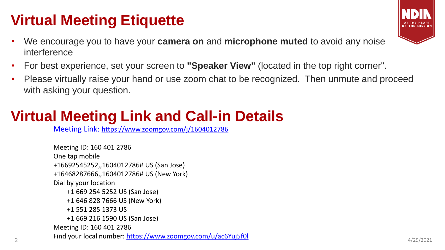## **Virtual Meeting Etiquette**

- We encourage you to have your **camera on** and **microphone muted** to avoid any noise interference
- For best experience, set your screen to **"Speaker View"** (located in the top right corner".
- Please virtually raise your hand or use zoom chat to be recognized. Then unmute and proceed with asking your question.

## **Virtual Meeting Link and Call-in Details**

Meeting Link: <https://www.zoomgov.com/j/1604012786>

2 **Find your local number: <https://www.zoomgov.com/u/ac6Yuj5f0l>** and the set of the set of the set of the set of the set of the set of the set of the set of the set of the set of the set of the set of the set of the set of Meeting ID: 160 401 2786 One tap mobile +16692545252,,1604012786# US (San Jose) +16468287666,,1604012786# US (New York) Dial by your location +1 669 254 5252 US (San Jose) +1 646 828 7666 US (New York) +1 551 285 1373 US +1 669 216 1590 US (San Jose) Meeting ID: 160 401 2786



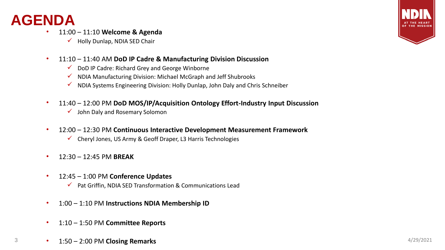#### **AGENDA**

- 11:00 11:10 **Welcome & Agenda**
	- $\checkmark$  Holly Dunlap, NDIA SED Chair
- 11:10 11:40 AM **DoD IP Cadre & Manufacturing Division Discussion**
	- ✓ DoD IP Cadre: Richard Grey and George Winborne
	- $\checkmark$  NDIA Manufacturing Division: Michael McGraph and Jeff Shubrooks
	- ✓ NDIA Systems Engineering Division: Holly Dunlap, John Daly and Chris Schneiber
- 11:40 12:00 PM **DoD MOS/IP/Acquisition Ontology Effort-Industry Input Discussion**
	- $\checkmark$  John Daly and Rosemary Solomon
- 12:00 12:30 PM **Continuous Interactive Development Measurement Framework**
	- $\checkmark$  Cheryl Jones, US Army & Geoff Draper, L3 Harris Technologies
- 12:30 12:45 PM **BREAK**
- 12:45 1:00 PM **Conference Updates**
	- $\checkmark$  Pat Griffin, NDIA SED Transformation & Communications Lead
- 1:00 1:10 PM **Instructions NDIA Membership ID**
- 1:10 1:50 PM **Committee Reports**
- **1:50 2:00 PM Closing Remarks** 4/29/2021

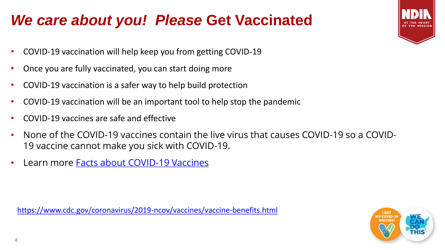### *We care about you! Please* **Get Vaccinated**

- COVID-19 vaccination will help keep you from getting COVID-19
- Once you are fully vaccinated, you can start doing more
- COVID-19 vaccination is a safer way to help build protection
- COVID-19 vaccination will be an important tool to help stop the pandemic
- COVID-19 vaccines are safe and effective
- None of the COVID-19 vaccines contain the live virus that causes COVID-19 so a COVID-19 vaccine cannot make you sick with COVID-19.
- Learn more **[Facts about COVID-19 Vaccines](https://www.cdc.gov/coronavirus/2019-ncov/vaccines/facts.html)**

<https://www.cdc.gov/coronavirus/2019-ncov/vaccines/vaccine-benefits.html>

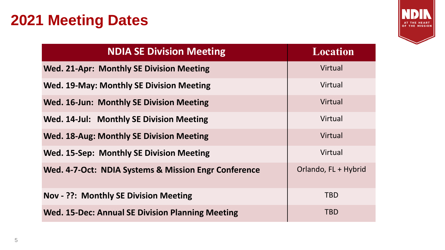### **2021 Meeting Dates**



| <b>NDIA SE Division Meeting</b>                         | <b>Location</b>      |
|---------------------------------------------------------|----------------------|
| <b>Wed. 21-Apr: Monthly SE Division Meeting</b>         | Virtual              |
| <b>Wed. 19-May: Monthly SE Division Meeting</b>         | Virtual              |
| <b>Wed. 16-Jun: Monthly SE Division Meeting</b>         | Virtual              |
| Wed. 14-Jul: Monthly SE Division Meeting                | Virtual              |
| <b>Wed. 18-Aug: Monthly SE Division Meeting</b>         | Virtual              |
| <b>Wed. 15-Sep: Monthly SE Division Meeting</b>         | Virtual              |
| Wed. 4-7-Oct: NDIA Systems & Mission Engr Conference    | Orlando, FL + Hybrid |
| <b>Nov - ??: Monthly SE Division Meeting</b>            | <b>TBD</b>           |
| <b>Wed. 15-Dec: Annual SE Division Planning Meeting</b> | <b>TBD</b>           |